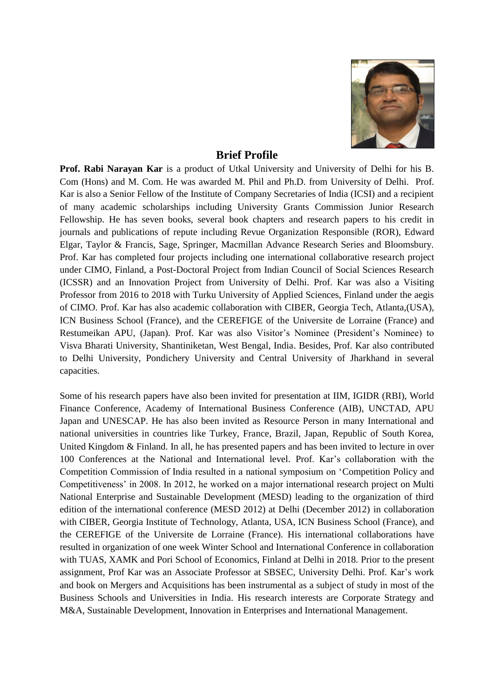

# **Brief Profile**

**Prof. Rabi Narayan Kar** is a product of Utkal University and University of Delhi for his B. Com (Hons) and M. Com. He was awarded M. Phil and Ph.D. from University of Delhi. Prof. Kar is also a Senior Fellow of the Institute of Company Secretaries of India (ICSI) and a recipient of many academic scholarships including University Grants Commission Junior Research Fellowship. He has seven books, several book chapters and research papers to his credit in journals and publications of repute including Revue Organization Responsible (ROR), Edward Elgar, Taylor & Francis, Sage, Springer, Macmillan Advance Research Series and Bloomsbury. Prof. Kar has completed four projects including one international collaborative research project under CIMO, Finland, a Post-Doctoral Project from Indian Council of Social Sciences Research (ICSSR) and an Innovation Project from University of Delhi. Prof. Kar was also a Visiting Professor from 2016 to 2018 with Turku University of Applied Sciences, Finland under the aegis of CIMO. Prof. Kar has also academic collaboration with CIBER, Georgia Tech, Atlanta,(USA), ICN Business School (France), and the CEREFIGE of the Universite de Lorraine (France) and Restumeikan APU, (Japan). Prof. Kar was also Visitor's Nominee (President's Nominee) to Visva Bharati University, Shantiniketan, West Bengal, India. Besides, Prof. Kar also contributed to Delhi University, Pondichery University and Central University of Jharkhand in several capacities.

Some of his research papers have also been invited for presentation at IIM, IGIDR (RBI), World Finance Conference, Academy of International Business Conference (AIB), UNCTAD, APU Japan and UNESCAP. He has also been invited as Resource Person in many International and national universities in countries like Turkey, France, Brazil, Japan, Republic of South Korea, United Kingdom & Finland. In all, he has presented papers and has been invited to lecture in over 100 Conferences at the National and International level. Prof. Kar's collaboration with the Competition Commission of India resulted in a national symposium on 'Competition Policy and Competitiveness' in 2008. In 2012, he worked on a major international research project on Multi National Enterprise and Sustainable Development (MESD) leading to the organization of third edition of the international conference (MESD 2012) at Delhi (December 2012) in collaboration with CIBER, Georgia Institute of Technology, Atlanta, USA, ICN Business School (France), and the CEREFIGE of the Universite de Lorraine (France). His international collaborations have resulted in organization of one week Winter School and International Conference in collaboration with TUAS, XAMK and Pori School of Economics, Finland at Delhi in 2018. Prior to the present assignment, Prof Kar was an Associate Professor at SBSEC, University Delhi. Prof. Kar's work and book on Mergers and Acquisitions has been instrumental as a subject of study in most of the Business Schools and Universities in India. His research interests are Corporate Strategy and M&A, Sustainable Development, Innovation in Enterprises and International Management.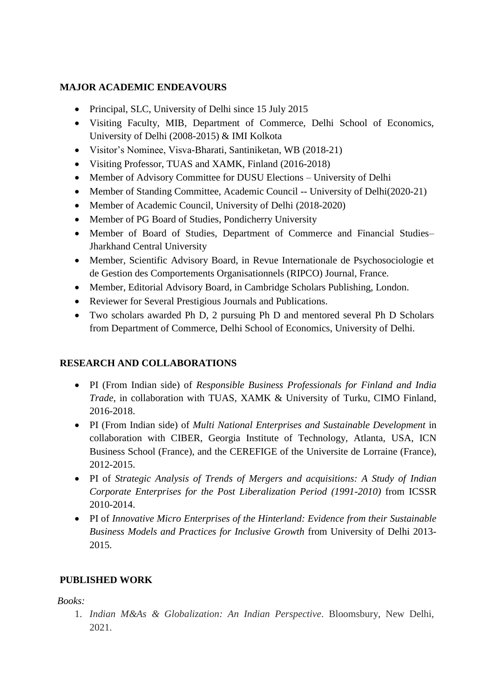# **MAJOR ACADEMIC ENDEAVOURS**

- Principal, SLC, University of Delhi since 15 July 2015
- Visiting Faculty, MIB, Department of Commerce, Delhi School of Economics, University of Delhi (2008-2015) & IMI Kolkota
- Visitor's Nominee, Visva-Bharati, Santiniketan, WB (2018-21)
- Visiting Professor, TUAS and XAMK, Finland (2016-2018)
- Member of Advisory Committee for DUSU Elections University of Delhi
- Member of Standing Committee, Academic Council -- University of Delhi(2020-21)
- Member of Academic Council, University of Delhi (2018-2020)
- Member of PG Board of Studies, Pondicherry University
- Member of Board of Studies, Department of Commerce and Financial Studies– Jharkhand Central University
- Member, Scientific Advisory Board, in Revue Internationale de Psychosociologie et de Gestion des Comportements Organisationnels (RIPCO) Journal, France.
- Member, Editorial Advisory Board, in Cambridge Scholars Publishing, London.
- Reviewer for Several Prestigious Journals and Publications.
- Two scholars awarded Ph D, 2 pursuing Ph D and mentored several Ph D Scholars from Department of Commerce, Delhi School of Economics, University of Delhi.

# **RESEARCH AND COLLABORATIONS**

- PI (From Indian side) of *Responsible Business Professionals for Finland and India Trade*, in collaboration with TUAS, XAMK & University of Turku, CIMO Finland, 2016-2018.
- PI (From Indian side) of *Multi National Enterprises and Sustainable Development* in collaboration with CIBER, Georgia Institute of Technology, Atlanta, USA, ICN Business School (France), and the CEREFIGE of the Universite de Lorraine (France), 2012-2015.
- PI of *Strategic Analysis of Trends of Mergers and acquisitions: A Study of Indian Corporate Enterprises for the Post Liberalization Period (1991-2010)* from ICSSR 2010-2014.
- PI of *Innovative Micro Enterprises of the Hinterland: Evidence from their Sustainable Business Models and Practices for Inclusive Growth* from University of Delhi 2013- 2015.

# **PUBLISHED WORK**

*Books:*

1. *Indian M&As & Globalization: An Indian Perspective*. Bloomsbury, New Delhi, 2021.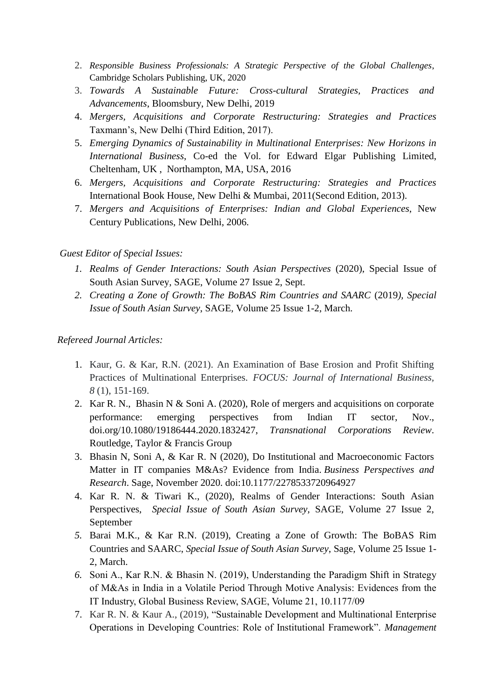- 2. *Responsible Business Professionals: A Strategic Perspective of the Global Challenges*, Cambridge Scholars Publishing, UK, 2020
- 3. *Towards A Sustainable Future: Cross-cultural Strategies, Practices and Advancements*, Bloomsbury, New Delhi, 2019
- 4. *Mergers, Acquisitions and Corporate Restructuring: Strategies and Practices* Taxmann's, New Delhi (Third Edition, 2017).
- 5. *Emerging Dynamics of Sustainability in Multinational Enterprises: New Horizons in International Business*, Co-ed the Vol. for Edward Elgar Publishing Limited, Cheltenham, UK , Northampton, MA, USA, 2016
- 6. *Mergers, Acquisitions and Corporate Restructuring: Strategies and Practices* International Book House, New Delhi & Mumbai, 2011(Second Edition, 2013).
- 7. *Mergers and Acquisitions of Enterprises: Indian and Global Experiences*, New Century Publications, New Delhi, 2006.

# *Guest Editor of Special Issues:*

- *1. Realms of Gender Interactions: South Asian Perspectives* (2020), Special Issue of South Asian Survey*,* SAGE, Volume 27 Issue 2, Sept.
- *2. Creating a Zone of Growth: The BoBAS Rim Countries and SAARC* (2019*), Special Issue of South Asian Survey*, SAGE*,* Volume 25 Issue 1-2, March.

# *Refereed Journal Articles:*

- 1. Kaur, G. & Kar, R.N. (2021). An Examination of Base Erosion and Profit Shifting Practices of Multinational Enterprises. *FOCUS: Journal of International Business, 8* (1), 151-169.
- 2. [Kar](https://www.tandfonline.com/author/Kar%2C+Rabi+Narayan) R. N., [Bhasin](https://www.tandfonline.com/author/Bhasin%2C+Niti) N & [Soni A.](https://www.tandfonline.com/author/Soni%2C+Amit) (2020), Role of mergers and acquisitions on corporate performance: emerging perspectives from Indian IT sector, Nov., [doi.org/10.1080/19186444.2020.1832427,](https://doi.org/10.1080/19186444.2020.1832427) *Transnational Corporations Review*. Routledge, Taylor & Francis Group
- 3. Bhasin N, Soni A, & Kar R. N (2020), Do Institutional and Macroeconomic Factors Matter in IT companies M&As? Evidence from India. *Business Perspectives and Research*. Sage, November 2020. doi[:10.1177/2278533720964927](https://doi.org/10.1177/2278533720964927)
- 4. Kar R. N. & Tiwari K., (2020), Realms of Gender Interactions: South Asian Perspectives, *Special Issue of South Asian Survey,* SAGE, Volume 27 Issue 2, September
- *5.* Barai M.K., & Kar R.N. (2019), Creating a Zone of Growth: The BoBAS Rim Countries and SAARC, *Special Issue of South Asian Survey*, Sage*,* Volume 25 Issue 1- 2, March.
- *6.* Soni A., Kar R.N. & Bhasin N. (2019), Understanding the Paradigm Shift in Strategy of M&As in India in a Volatile Period Through Motive Analysis: Evidences from the IT Industry, Global Business Review, SAGE, Volume 21, 10.1177/09
- 7. Kar R. N. & Kaur A., (2019), "Sustainable Development and Multinational Enterprise Operations in Developing Countries: Role of Institutional Framework". *Management*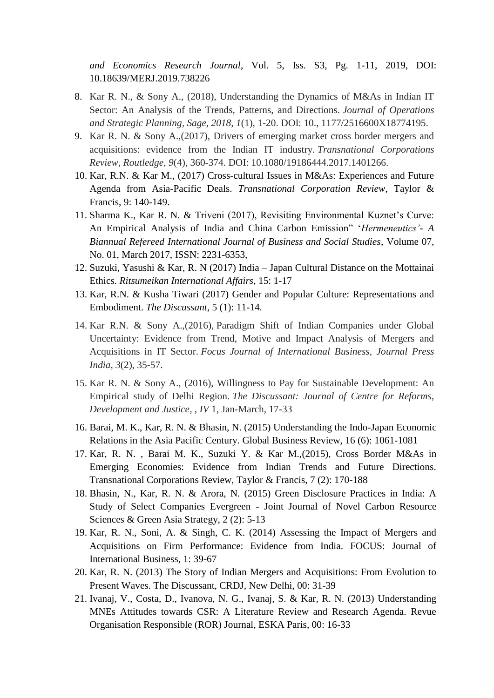*and Economics Research Journal*, Vol. 5, Iss. S3, Pg. 1-11, 2019, DOI: 10.18639/MERJ.2019.738226

- 8. Kar R. N., & Sony A., (2018), Understanding the Dynamics of M&As in Indian IT Sector: An Analysis of the Trends, Patterns, and Directions. *Journal of Operations and Strategic Planning, Sage, 2018, 1*(1), 1-20. DOI: 10., 1177/2516600X18774195.
- 9. Kar R. N. & Sony A.,(2017), Drivers of emerging market cross border mergers and acquisitions: evidence from the Indian IT industry. *Transnational Corporations Review, Routledge, 9*(4), 360-374. DOI: 10.1080/19186444.2017.1401266.
- 10. Kar, R.N. & Kar M., (2017) Cross-cultural Issues in M&As: Experiences and Future Agenda from Asia-Pacific Deals. *Transnational Corporation Review*, Taylor & Francis, 9: 140-149.
- 11. Sharma K., Kar R. N. & Triveni (2017), Revisiting Environmental Kuznet's Curve: An Empirical Analysis of India and China Carbon Emission" '*Hermeneutics'- A Biannual Refereed International Journal of Business and Social Studies*, Volume 07, No. 01, March 2017, ISSN: 2231-6353,
- 12. Suzuki, Yasushi & Kar, R. N (2017) India Japan Cultural Distance on the Mottainai Ethics. *Ritsumeikan International Affairs*, 15: 1-17
- 13. Kar, R.N. & Kusha Tiwari (2017) Gender and Popular Culture: Representations and Embodiment. *The Discussant*, 5 (1): 11-14.
- 14. Kar R.N. & Sony A.,(2016), Paradigm Shift of Indian Companies under Global Uncertainty: Evidence from Trend, Motive and Impact Analysis of Mergers and Acquisitions in IT Sector. *Focus Journal of International Business, Journal Press India, 3*(2), 35-57.
- 15. Kar R. N. & Sony A., (2016), Willingness to Pay for Sustainable Development: An Empirical study of Delhi Region. *The Discussant: Journal of Centre for Reforms, Development and Justice, , IV* 1, Jan-March, 17-33
- 16. Barai, M. K., Kar, R. N. & Bhasin, N. (2015) Understanding the Indo-Japan Economic Relations in the Asia Pacific Century. Global Business Review, 16 (6): 1061-1081
- 17. Kar, R. N. , Barai M. K., Suzuki Y. & Kar M.,(2015), Cross Border M&As in Emerging Economies: Evidence from Indian Trends and Future Directions. Transnational Corporations Review, Taylor & Francis, 7 (2): 170-188
- 18. Bhasin, N., Kar, R. N. & Arora, N. (2015) Green Disclosure Practices in India: A Study of Select Companies Evergreen - Joint Journal of Novel Carbon Resource Sciences & Green Asia Strategy, 2(2): 5-13
- 19. Kar, R. N., Soni, A. & Singh, C. K. (2014) Assessing the Impact of Mergers and Acquisitions on Firm Performance: Evidence from India. FOCUS: Journal of International Business, 1: 39-67
- 20. Kar, R. N. (2013) The Story of Indian Mergers and Acquisitions: From Evolution to Present Waves. The Discussant, CRDJ, New Delhi, 00: 31-39
- 21. Ivanaj, V., Costa, D., Ivanova, N. G., Ivanaj, S. & Kar, R. N. (2013) Understanding MNEs Attitudes towards CSR: A Literature Review and Research Agenda. Revue Organisation Responsible (ROR) Journal, ESKA Paris, 00: 16-33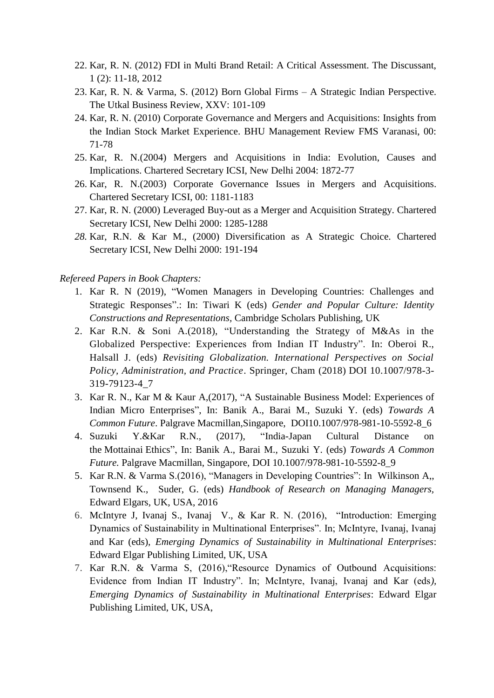- 22. Kar, R. N. (2012) FDI in Multi Brand Retail: A Critical Assessment. The Discussant, 1 (2): 11-18, 2012
- 23. Kar, R. N. & Varma, S. (2012) Born Global Firms A Strategic Indian Perspective. The Utkal Business Review, XXV: 101-109
- 24. Kar, R. N. (2010) Corporate Governance and Mergers and Acquisitions: Insights from the Indian Stock Market Experience. BHU Management Review FMS Varanasi, 00: 71-78
- 25. Kar, R. N.(2004) Mergers and Acquisitions in India: Evolution, Causes and Implications. Chartered Secretary ICSI, New Delhi 2004: 1872-77
- 26. Kar, R. N.(2003) Corporate Governance Issues in Mergers and Acquisitions. Chartered Secretary ICSI, 00: 1181-1183
- 27. Kar, R. N. (2000) Leveraged Buy-out as a Merger and Acquisition Strategy. Chartered Secretary ICSI, New Delhi 2000: 1285-1288
- *28.* Kar, R.N. & Kar M., (2000) Diversification as A Strategic Choice. Chartered Secretary ICSI, New Delhi 2000: 191-194

#### *Refereed Papers in Book Chapters:*

- 1. Kar R. N (2019), "Women Managers in Developing Countries: Challenges and Strategic Responses".: In: Tiwari K (eds) *Gender and Popular Culture: Identity Constructions and Representations,* Cambridge Scholars Publishing, UK
- 2. Kar R.N. & Soni A.(2018), "Understanding the Strategy of M&As in the Globalized Perspective: Experiences from Indian IT Industry". In: Oberoi R., Halsall J. (eds) *Revisiting Globalization. International Perspectives on Social Policy, Administration, and Practice*. Springer, Cham (2018) DOI 10.1007/978-3- 319-79123-4\_7
- 3. Kar R. N., Kar M & Kaur A,(2017), "A Sustainable Business Model: Experiences of Indian Micro Enterprises", In: Banik A., Barai M., Suzuki Y. (eds) *Towards A Common Future*. Palgrave Macmillan,Singapore, DOI10.1007/978-981-10-5592-8\_6
- 4. Suzuki Y.&Kar R.N., (2017), "India-Japan Cultural Distance on the Mottainai Ethics", In: Banik A., Barai M., Suzuki Y. (eds) *Towards A Common Future.* Palgrave Macmillan, Singapore, [DOI 10.1007/978-981-10-5592-8\\_9](https://doi.org/10.1007/978-981-10-5592-8_9)
- 5. Kar R.N. & Varma S.(2016), "Managers in Developing Countries": In Wilkinson A,, Townsend K., Suder, G. (eds) *Handbook of Research on Managing Managers,*  Edward Elgars*,* UK, USA, 2016
- 6. McIntyre J, Ivanaj S., Ivanaj V., & Kar R. N. (2016), "Introduction: Emerging Dynamics of Sustainability in Multinational Enterprises". In; McIntyre, Ivanaj, Ivanaj and Kar (eds), *Emerging Dynamics of Sustainability in Multinational Enterprises*: Edward Elgar Publishing Limited, UK, USA
- 7. Kar R.N. & Varma S, (2016),"Resource Dynamics of Outbound Acquisitions: Evidence from Indian IT Industry". In; McIntyre, Ivanaj, Ivanaj and Kar (eds*), Emerging Dynamics of Sustainability in Multinational Enterprises*: Edward Elgar Publishing Limited, UK, USA,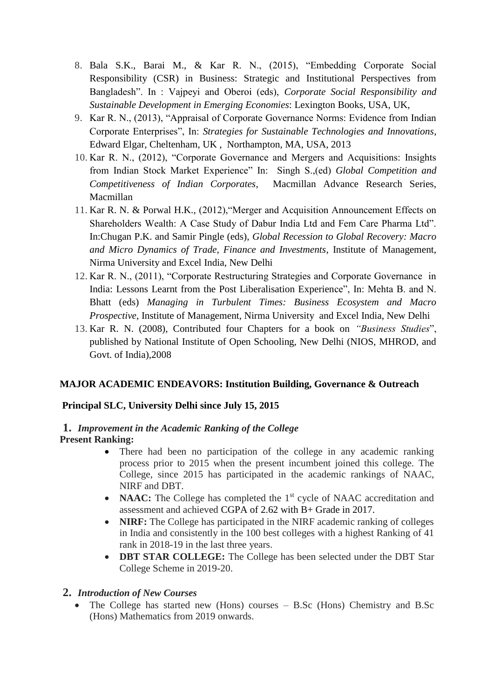- 8. Bala S.K., Barai M., & Kar R. N., (2015), "Embedding Corporate Social Responsibility (CSR) in Business: Strategic and Institutional Perspectives from Bangladesh". In : Vajpeyi and Oberoi (eds), *Corporate Social Responsibility and Sustainable Development in Emerging Economies*: Lexington Books, USA, UK,
- 9. Kar R. N., (2013), "Appraisal of Corporate Governance Norms: Evidence from Indian Corporate Enterprises", In: *Strategies for Sustainable Technologies and Innovations*, Edward Elgar, Cheltenham, UK , Northampton, MA, USA, 2013
- 10. Kar R. N., (2012), "Corporate Governance and Mergers and Acquisitions: Insights from Indian Stock Market Experience" In: Singh S.,(ed) *Global Competition and Competitiveness of Indian Corporates*, Macmillan Advance Research Series, Macmillan
- 11. Kar R. N. & Porwal H.K., (2012),"Merger and Acquisition Announcement Effects on Shareholders Wealth: A Case Study of Dabur India Ltd and Fem Care Pharma Ltd". In:Chugan P.K. and Samir Pingle (eds), *Global Recession to Global Recovery: Macro and Micro Dynamics of Trade, Finance and Investments*, Institute of Management, Nirma University and Excel India, New Delhi
- 12. Kar R. N., (2011), "Corporate Restructuring Strategies and Corporate Governance in India: Lessons Learnt from the Post Liberalisation Experience", In: Mehta B. and N. Bhatt (eds) *Managing in Turbulent Times: Business Ecosystem and Macro Prospective*, Institute of Management, Nirma University and Excel India, New Delhi
- 13. Kar R. N. (2008), Contributed four Chapters for a book on *"Business Studies*", published by National Institute of Open Schooling, New Delhi (NIOS, MHROD, and Govt. of India),2008

# **MAJOR ACADEMIC ENDEAVORS: Institution Building, Governance & Outreach**

# **Principal SLC, University Delhi since July 15, 2015**

### **1.** *Improvement in the Academic Ranking of the College*  **Present Ranking:**

- There had been no participation of the college in any academic ranking process prior to 2015 when the present incumbent joined this college. The College, since 2015 has participated in the academic rankings of NAAC, NIRF and DBT.
- **NAAC:** The College has completed the 1<sup>st</sup> cycle of NAAC accreditation and assessment and achieved CGPA of 2.62 with B+ Grade in 2017.
- **NIRF:** The College has participated in the NIRF academic ranking of colleges in India and consistently in the 100 best colleges with a highest Ranking of 41 rank in 2018-19 in the last three years.
- **DBT STAR COLLEGE:** The College has been selected under the DBT Star College Scheme in 2019-20.

# **2.** *Introduction of New Courses*

 The College has started new (Hons) courses – B.Sc (Hons) Chemistry and B.Sc (Hons) Mathematics from 2019 onwards.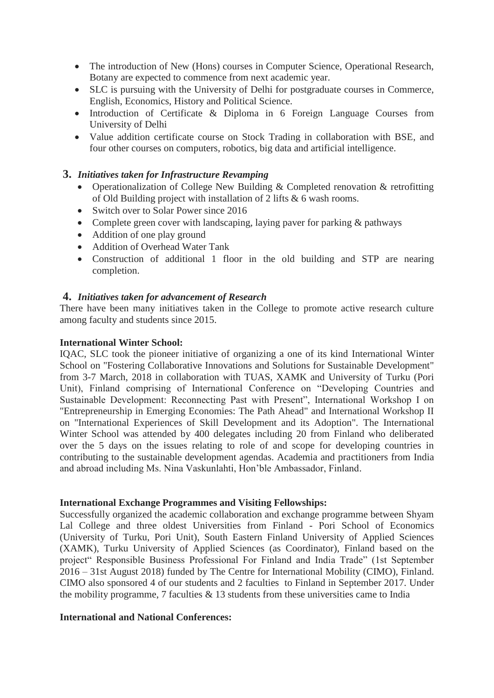- The introduction of New (Hons) courses in Computer Science, Operational Research, Botany are expected to commence from next academic year.
- SLC is pursuing with the University of Delhi for postgraduate courses in Commerce, English, Economics, History and Political Science.
- Introduction of Certificate & Diploma in 6 Foreign Language Courses from University of Delhi
- Value addition certificate course on Stock Trading in collaboration with BSE, and four other courses on computers, robotics, big data and artificial intelligence.

# **3.** *Initiatives taken for Infrastructure Revamping*

- Operationalization of College New Building & Completed renovation & retrofitting of Old Building project with installation of 2 lifts & 6 wash rooms.
- Switch over to Solar Power since 2016
- Complete green cover with landscaping, laying paver for parking & pathways
- Addition of one play ground
- Addition of Overhead Water Tank
- Construction of additional 1 floor in the old building and STP are nearing completion.

# **4.** *Initiatives taken for advancement of Research*

There have been many initiatives taken in the College to promote active research culture among faculty and students since 2015.

### **International Winter School:**

IQAC, SLC took the pioneer initiative of organizing a one of its kind International Winter School on "Fostering Collaborative Innovations and Solutions for Sustainable Development" from 3-7 March, 2018 in collaboration with TUAS, XAMK and University of Turku (Pori Unit), Finland comprising of International Conference on "Developing Countries and Sustainable Development: Reconnecting Past with Present", International Workshop I on "Entrepreneurship in Emerging Economies: The Path Ahead" and International Workshop II on "International Experiences of Skill Development and its Adoption". The International Winter School was attended by 400 delegates including 20 from Finland who deliberated over the 5 days on the issues relating to role of and scope for developing countries in contributing to the sustainable development agendas. Academia and practitioners from India and abroad including Ms. Nina Vaskunlahti, Hon'ble Ambassador, Finland.

#### **International Exchange Programmes and Visiting Fellowships:**

Successfully organized the academic collaboration and exchange programme between Shyam Lal College and three oldest Universities from Finland - Pori School of Economics (University of Turku, Pori Unit), South Eastern Finland University of Applied Sciences (XAMK), Turku University of Applied Sciences (as Coordinator), Finland based on the project" Responsible Business Professional For Finland and India Trade" (1st September 2016 – 31st August 2018) funded by The Centre for International Mobility (CIMO), Finland. CIMO also sponsored 4 of our students and 2 faculties to Finland in September 2017. Under the mobility programme, 7 faculties  $\&$  13 students from these universities came to India

### **International and National Conferences:**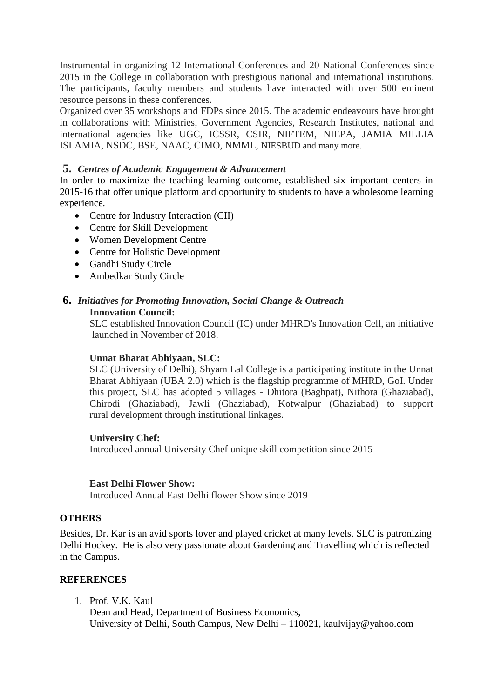Instrumental in organizing 12 International Conferences and 20 National Conferences since 2015 in the College in collaboration with prestigious national and international institutions. The participants, faculty members and students have interacted with over 500 eminent resource persons in these conferences.

Organized over 35 workshops and FDPs since 2015. The academic endeavours have brought in collaborations with Ministries, Government Agencies, Research Institutes, national and international agencies like UGC, ICSSR, CSIR, NIFTEM, NIEPA, JAMIA MILLIA ISLAMIA, NSDC, BSE, NAAC, CIMO, NMML, NIESBUD and many more.

# **5.** *Centres of Academic Engagement & Advancement*

In order to maximize the teaching learning outcome, established six important centers in 2015-16 that offer unique platform and opportunity to students to have a wholesome learning experience.

- Centre for Industry Interaction (CII)
- Centre for Skill Development
- Women Development Centre
- Centre for Holistic Development
- Gandhi Study Circle
- Ambedkar Study Circle

#### **6.** *Initiatives for Promoting Innovation, Social Change & Outreach* **Innovation Council:**

 SLC established Innovation Council (IC) under MHRD's Innovation Cell, an initiative launched in November of 2018.

### **Unnat Bharat Abhiyaan, SLC:**

SLC (University of Delhi), Shyam Lal College is a participating institute in the Unnat Bharat Abhiyaan (UBA 2.0) which is the flagship programme of MHRD, GoI. Under this project, SLC has adopted 5 villages - Dhitora (Baghpat), Nithora (Ghaziabad), Chirodi (Ghaziabad), Jawli (Ghaziabad), Kotwalpur (Ghaziabad) to support rural development through institutional linkages.

### **University Chef:**

Introduced annual University Chef unique skill competition since 2015

### **East Delhi Flower Show:**

Introduced Annual East Delhi flower Show since 2019

### **OTHERS**

Besides, Dr. Kar is an avid sports lover and played cricket at many levels. SLC is patronizing Delhi Hockey. He is also very passionate about Gardening and Travelling which is reflected in the Campus.

### **REFERENCES**

1. Prof. V.K. Kaul

 Dean and Head, Department of Business Economics, University of Delhi, South Campus, New Delhi – 110021, kaulvijay@yahoo.com